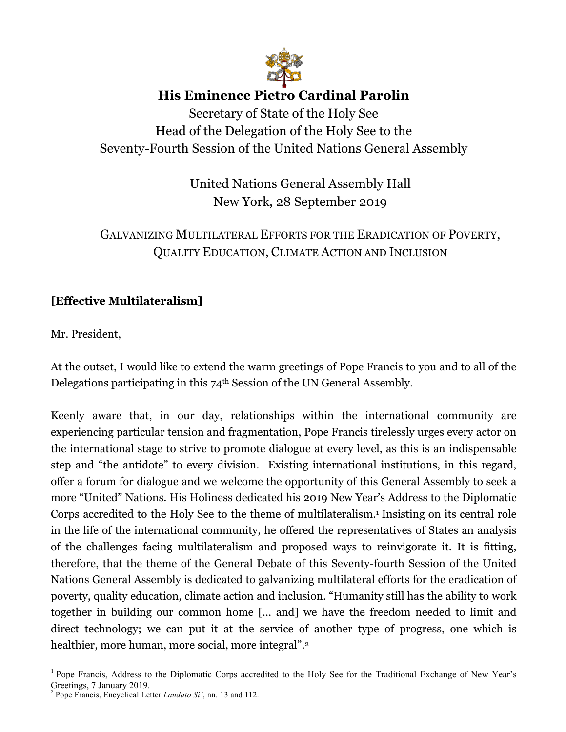

# **His Eminence Pietro Cardinal Parolin**

Secretary of State of the Holy See Head of the Delegation of the Holy See to the Seventy-Fourth Session of the United Nations General Assembly

> United Nations General Assembly Hall New York, 28 September 2019

# GALVANIZING MULTILATERAL EFFORTS FOR THE ERADICATION OF POVERTY, QUALITY EDUCATION, CLIMATE ACTION AND INCLUSION

## **[Effective Multilateralism]**

Mr. President,

At the outset, I would like to extend the warm greetings of Pope Francis to you and to all of the Delegations participating in this 74th Session of the UN General Assembly.

Keenly aware that, in our day, relationships within the international community are experiencing particular tension and fragmentation, Pope Francis tirelessly urges every actor on the international stage to strive to promote dialogue at every level, as this is an indispensable step and "the antidote" to every division. Existing international institutions, in this regard, offer a forum for dialogue and we welcome the opportunity of this General Assembly to seek a more "United" Nations. His Holiness dedicated his 2019 New Year's Address to the Diplomatic Corps accredited to the Holy See to the theme of multilateralism.1 Insisting on its central role in the life of the international community, he offered the representatives of States an analysis of the challenges facing multilateralism and proposed ways to reinvigorate it. It is fitting, therefore, that the theme of the General Debate of this Seventy-fourth Session of the United Nations General Assembly is dedicated to galvanizing multilateral efforts for the eradication of poverty, quality education, climate action and inclusion. "Humanity still has the ability to work together in building our common home [… and] we have the freedom needed to limit and direct technology; we can put it at the service of another type of progress, one which is healthier, more human, more social, more integral".<sup>2</sup>

<sup>&</sup>lt;sup>1</sup> Pope Francis, Address to the Diplomatic Corps accredited to the Holy See for the Traditional Exchange of New Year's Greetings, 7 January 2019.

<sup>2</sup> Pope Francis, Encyclical Letter *Laudato Si'*, nn. 13 and 112.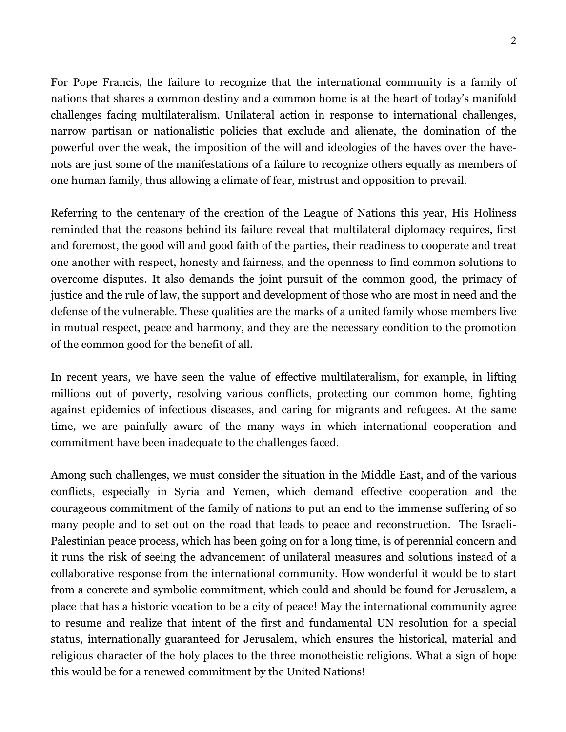For Pope Francis, the failure to recognize that the international community is a family of nations that shares a common destiny and a common home is at the heart of today's manifold challenges facing multilateralism. Unilateral action in response to international challenges, narrow partisan or nationalistic policies that exclude and alienate, the domination of the powerful over the weak, the imposition of the will and ideologies of the haves over the havenots are just some of the manifestations of a failure to recognize others equally as members of one human family, thus allowing a climate of fear, mistrust and opposition to prevail.

Referring to the centenary of the creation of the League of Nations this year, His Holiness reminded that the reasons behind its failure reveal that multilateral diplomacy requires, first and foremost, the good will and good faith of the parties, their readiness to cooperate and treat one another with respect, honesty and fairness, and the openness to find common solutions to overcome disputes. It also demands the joint pursuit of the common good, the primacy of justice and the rule of law, the support and development of those who are most in need and the defense of the vulnerable. These qualities are the marks of a united family whose members live in mutual respect, peace and harmony, and they are the necessary condition to the promotion of the common good for the benefit of all.

In recent years, we have seen the value of effective multilateralism, for example, in lifting millions out of poverty, resolving various conflicts, protecting our common home, fighting against epidemics of infectious diseases, and caring for migrants and refugees. At the same time, we are painfully aware of the many ways in which international cooperation and commitment have been inadequate to the challenges faced.

Among such challenges, we must consider the situation in the Middle East, and of the various conflicts, especially in Syria and Yemen, which demand effective cooperation and the courageous commitment of the family of nations to put an end to the immense suffering of so many people and to set out on the road that leads to peace and reconstruction. The Israeli-Palestinian peace process, which has been going on for a long time, is of perennial concern and it runs the risk of seeing the advancement of unilateral measures and solutions instead of a collaborative response from the international community. How wonderful it would be to start from a concrete and symbolic commitment, which could and should be found for Jerusalem, a place that has a historic vocation to be a city of peace! May the international community agree to resume and realize that intent of the first and fundamental UN resolution for a special status, internationally guaranteed for Jerusalem, which ensures the historical, material and religious character of the holy places to the three monotheistic religions. What a sign of hope this would be for a renewed commitment by the United Nations!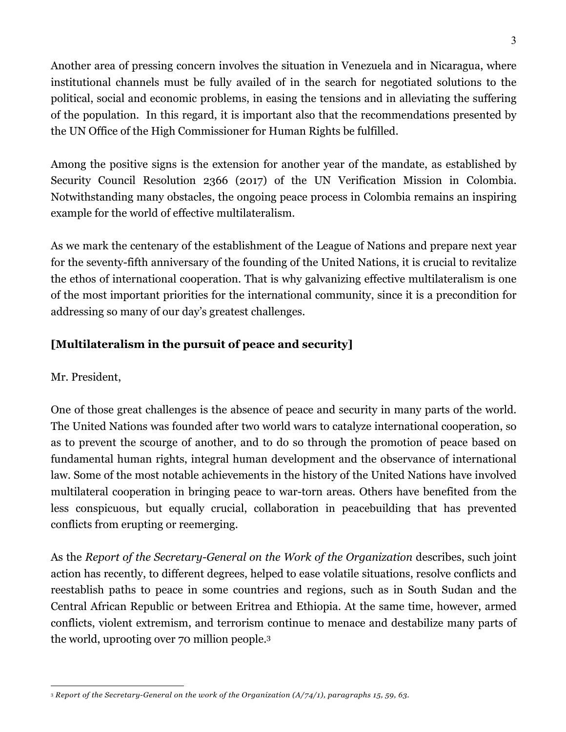Another area of pressing concern involves the situation in Venezuela and in Nicaragua, where institutional channels must be fully availed of in the search for negotiated solutions to the political, social and economic problems, in easing the tensions and in alleviating the suffering of the population. In this regard, it is important also that the recommendations presented by the UN Office of the High Commissioner for Human Rights be fulfilled.

Among the positive signs is the extension for another year of the mandate, as established by Security Council Resolution 2366 (2017) of the UN Verification Mission in Colombia. Notwithstanding many obstacles, the ongoing peace process in Colombia remains an inspiring example for the world of effective multilateralism.

As we mark the centenary of the establishment of the League of Nations and prepare next year for the seventy-fifth anniversary of the founding of the United Nations, it is crucial to revitalize the ethos of international cooperation. That is why galvanizing effective multilateralism is one of the most important priorities for the international community, since it is a precondition for addressing so many of our day's greatest challenges.

## **[Multilateralism in the pursuit of peace and security]**

Mr. President,

One of those great challenges is the absence of peace and security in many parts of the world. The United Nations was founded after two world wars to catalyze international cooperation, so as to prevent the scourge of another, and to do so through the promotion of peace based on fundamental human rights, integral human development and the observance of international law. Some of the most notable achievements in the history of the United Nations have involved multilateral cooperation in bringing peace to war-torn areas. Others have benefited from the less conspicuous, but equally crucial, collaboration in peacebuilding that has prevented conflicts from erupting or reemerging.

As the *Report of the Secretary-General on the Work of the Organization* describes, such joint action has recently, to different degrees, helped to ease volatile situations, resolve conflicts and reestablish paths to peace in some countries and regions, such as in South Sudan and the Central African Republic or between Eritrea and Ethiopia. At the same time, however, armed conflicts, violent extremism, and terrorism continue to menace and destabilize many parts of the world, uprooting over 70 million people.3

<sup>&</sup>lt;u>.</u> <sup>3</sup> *Report of the Secretary-General on the work of the Organization (A/74/1), paragraphs 15, 59, 63.*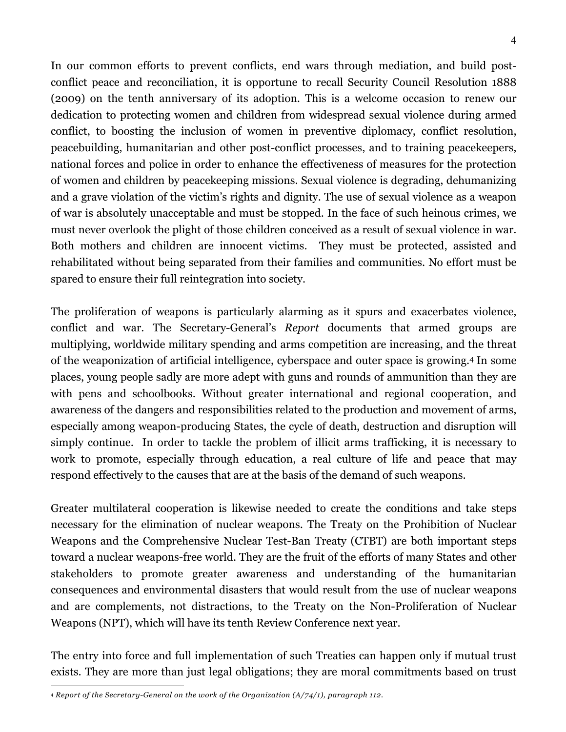In our common efforts to prevent conflicts, end wars through mediation, and build postconflict peace and reconciliation, it is opportune to recall Security Council Resolution 1888 (2009) on the tenth anniversary of its adoption. This is a welcome occasion to renew our dedication to protecting women and children from widespread sexual violence during armed conflict, to boosting the inclusion of women in preventive diplomacy, conflict resolution, peacebuilding, humanitarian and other post-conflict processes, and to training peacekeepers, national forces and police in order to enhance the effectiveness of measures for the protection of women and children by peacekeeping missions. Sexual violence is degrading, dehumanizing and a grave violation of the victim's rights and dignity. The use of sexual violence as a weapon of war is absolutely unacceptable and must be stopped. In the face of such heinous crimes, we must never overlook the plight of those children conceived as a result of sexual violence in war. Both mothers and children are innocent victims. They must be protected, assisted and rehabilitated without being separated from their families and communities. No effort must be spared to ensure their full reintegration into society.

The proliferation of weapons is particularly alarming as it spurs and exacerbates violence, conflict and war. The Secretary-General's *Report* documents that armed groups are multiplying, worldwide military spending and arms competition are increasing, and the threat of the weaponization of artificial intelligence, cyberspace and outer space is growing.4 In some places, young people sadly are more adept with guns and rounds of ammunition than they are with pens and schoolbooks. Without greater international and regional cooperation, and awareness of the dangers and responsibilities related to the production and movement of arms, especially among weapon-producing States, the cycle of death, destruction and disruption will simply continue. In order to tackle the problem of illicit arms trafficking, it is necessary to work to promote, especially through education, a real culture of life and peace that may respond effectively to the causes that are at the basis of the demand of such weapons.

Greater multilateral cooperation is likewise needed to create the conditions and take steps necessary for the elimination of nuclear weapons. The Treaty on the Prohibition of Nuclear Weapons and the Comprehensive Nuclear Test-Ban Treaty (CTBT) are both important steps toward a nuclear weapons-free world. They are the fruit of the efforts of many States and other stakeholders to promote greater awareness and understanding of the humanitarian consequences and environmental disasters that would result from the use of nuclear weapons and are complements, not distractions, to the Treaty on the Non-Proliferation of Nuclear Weapons (NPT), which will have its tenth Review Conference next year.

The entry into force and full implementation of such Treaties can happen only if mutual trust exists. They are more than just legal obligations; they are moral commitments based on trust

<sup>&</sup>lt;u>.</u> <sup>4</sup> *Report of the Secretary-General on the work of the Organization (A/74/1), paragraph 112.*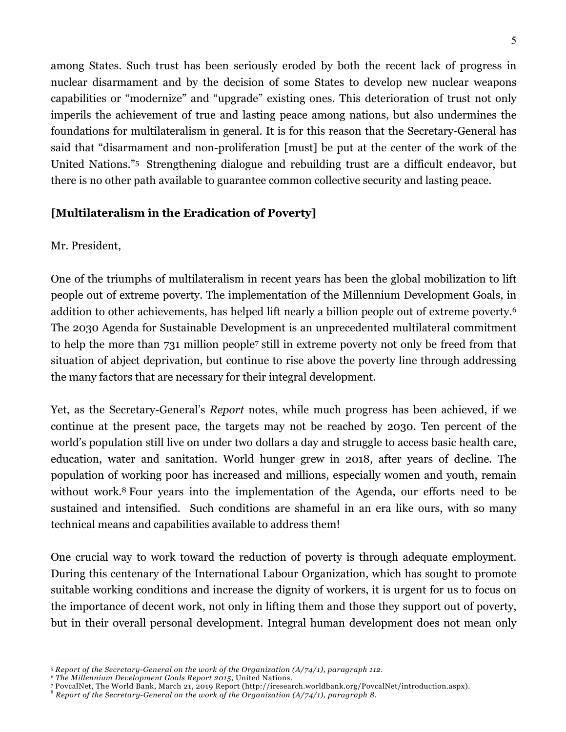among States. Such trust has been seriously eroded by both the recent lack of progress in nuclear disarmament and by the decision of some States to develop new nuclear weapons capabilities or "modernize" and "upgrade" existing ones. This deterioration of trust not only imperils the achievement of true and lasting peace among nations, but also undermines the foundations for multilateralism in general. It is for this reason that the Secretary-General has said that "disarmament and non-proliferation [must] be put at the center of the work of the United Nations."5 Strengthening dialogue and rebuilding trust are a difficult endeavor, but there is no other path available to guarantee common collective security and lasting peace.

### **[Multilateralism in the Eradication of Poverty]**

### Mr. President,

One of the triumphs of multilateralism in recent years has been the global mobilization to lift people out of extreme poverty. The implementation of the Millennium Development Goals, in addition to other achievements, has helped lift nearly a billion people out of extreme poverty.6 The 2030 Agenda for Sustainable Development is an unprecedented multilateral commitment to help the more than 731 million people7 still in extreme poverty not only be freed from that situation of abject deprivation, but continue to rise above the poverty line through addressing the many factors that are necessary for their integral development.

Yet, as the Secretary-General's *Report* notes, while much progress has been achieved, if we continue at the present pace, the targets may not be reached by 2030. Ten percent of the world's population still live on under two dollars a day and struggle to access basic health care, education, water and sanitation. World hunger grew in 2018, after years of decline. The population of working poor has increased and millions, especially women and youth, remain without work.<sup>8</sup> Four years into the implementation of the Agenda, our efforts need to be sustained and intensified. Such conditions are shameful in an era like ours, with so many technical means and capabilities available to address them!

One crucial way to work toward the reduction of poverty is through adequate employment. During this centenary of the International Labour Organization, which has sought to promote suitable working conditions and increase the dignity of workers, it is urgent for us to focus on the importance of decent work, not only in lifting them and those they support out of poverty, but in their overall personal development. Integral human development does not mean only

<sup>1</sup> <sup>5</sup> *Report of the Secretary-General on the work of the Organization (A/74/1), paragraph 112.*

<sup>&</sup>lt;sup>6</sup> The Millennium Development Goals Report 2015, United Nations.<br>7 PovcalNet, The World Bank, March 21, 2019 Report (http://iresearch.worldbank.org/PovcalNet/introduction.aspx).<br><sup>8</sup> Report of the Secretary-General on the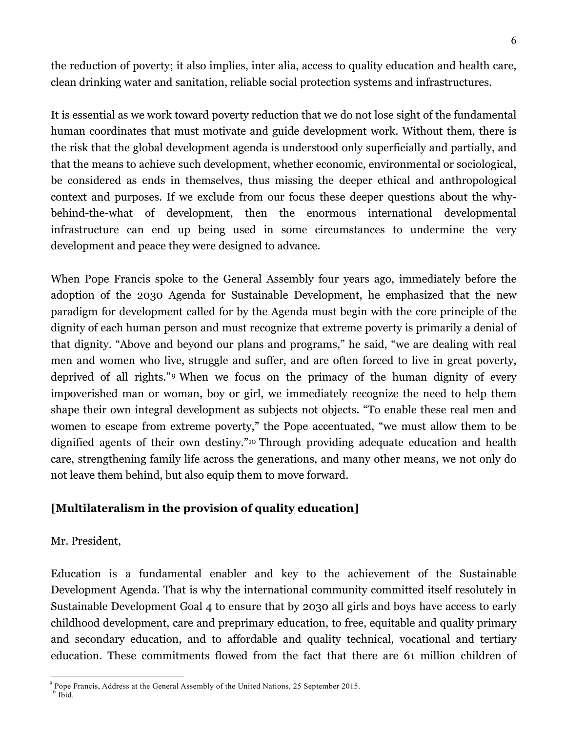the reduction of poverty; it also implies, inter alia, access to quality education and health care, clean drinking water and sanitation, reliable social protection systems and infrastructures.

It is essential as we work toward poverty reduction that we do not lose sight of the fundamental human coordinates that must motivate and guide development work. Without them, there is the risk that the global development agenda is understood only superficially and partially, and that the means to achieve such development, whether economic, environmental or sociological, be considered as ends in themselves, thus missing the deeper ethical and anthropological context and purposes. If we exclude from our focus these deeper questions about the whybehind-the-what of development, then the enormous international developmental infrastructure can end up being used in some circumstances to undermine the very development and peace they were designed to advance.

When Pope Francis spoke to the General Assembly four years ago, immediately before the adoption of the 2030 Agenda for Sustainable Development, he emphasized that the new paradigm for development called for by the Agenda must begin with the core principle of the dignity of each human person and must recognize that extreme poverty is primarily a denial of that dignity. "Above and beyond our plans and programs," he said, "we are dealing with real men and women who live, struggle and suffer, and are often forced to live in great poverty, deprived of all rights."9 When we focus on the primacy of the human dignity of every impoverished man or woman, boy or girl, we immediately recognize the need to help them shape their own integral development as subjects not objects. "To enable these real men and women to escape from extreme poverty," the Pope accentuated, "we must allow them to be dignified agents of their own destiny."10 Through providing adequate education and health care, strengthening family life across the generations, and many other means, we not only do not leave them behind, but also equip them to move forward.

### **[Multilateralism in the provision of quality education]**

#### Mr. President,

Education is a fundamental enabler and key to the achievement of the Sustainable Development Agenda. That is why the international community committed itself resolutely in Sustainable Development Goal 4 to ensure that by 2030 all girls and boys have access to early childhood development, care and preprimary education, to free, equitable and quality primary and secondary education, and to affordable and quality technical, vocational and tertiary education. These commitments flowed from the fact that there are 61 million children of

 $9$  Pope Francis, Address at the General Assembly of the United Nations, 25 September 2015. <sup>10</sup> Ibid.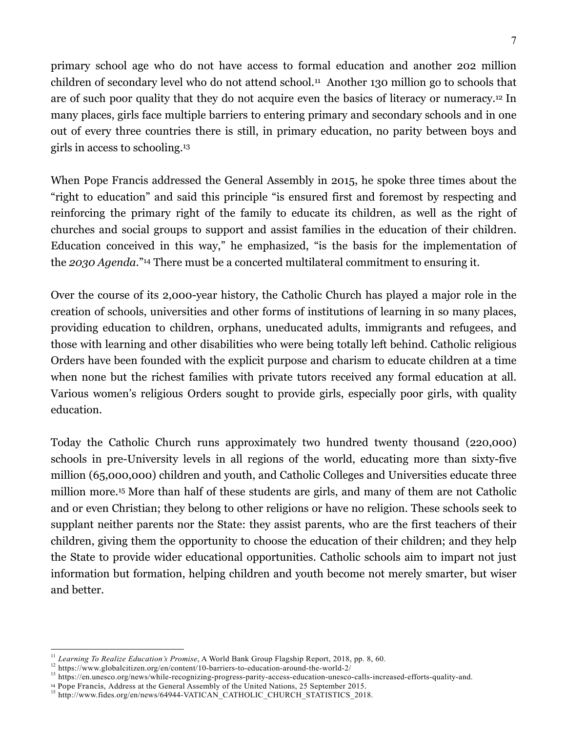primary school age who do not have access to formal education and another 202 million children of secondary level who do not attend school.11 Another 130 million go to schools that are of such poor quality that they do not acquire even the basics of literacy or numeracy.12 In many places, girls face multiple barriers to entering primary and secondary schools and in one out of every three countries there is still, in primary education, no parity between boys and girls in access to schooling.13

When Pope Francis addressed the General Assembly in 2015, he spoke three times about the "right to education" and said this principle "is ensured first and foremost by respecting and reinforcing the primary right of the family to educate its children, as well as the right of churches and social groups to support and assist families in the education of their children. Education conceived in this way," he emphasized, "is the basis for the implementation of the *2030 Agenda*."14 There must be a concerted multilateral commitment to ensuring it.

Over the course of its 2,000-year history, the Catholic Church has played a major role in the creation of schools, universities and other forms of institutions of learning in so many places, providing education to children, orphans, uneducated adults, immigrants and refugees, and those with learning and other disabilities who were being totally left behind. Catholic religious Orders have been founded with the explicit purpose and charism to educate children at a time when none but the richest families with private tutors received any formal education at all. Various women's religious Orders sought to provide girls, especially poor girls, with quality education.

Today the Catholic Church runs approximately two hundred twenty thousand (220,000) schools in pre-University levels in all regions of the world, educating more than sixty-five million (65,000,000) children and youth, and Catholic Colleges and Universities educate three million more.15 More than half of these students are girls, and many of them are not Catholic and or even Christian; they belong to other religions or have no religion. These schools seek to supplant neither parents nor the State: they assist parents, who are the first teachers of their children, giving them the opportunity to choose the education of their children; and they help the State to provide wider educational opportunities. Catholic schools aim to impart not just information but formation, helping children and youth become not merely smarter, but wiser and better.

<sup>&</sup>lt;sup>11</sup> Learning To Realize Education's Promise, A World Bank Group Flagship Report, 2018, pp. 8, 60.<br><sup>12</sup> https://www.globalcitizen.org/en/content/10-barriers-to-education-around-the-world-2/<br><sup>13</sup> https://en.unesco.org/news

<sup>&</sup>lt;sup>15</sup> http://www.fides.org/en/news/64944-VATICAN\_CATHOLIC\_CHURCH\_STATISTICS\_2018.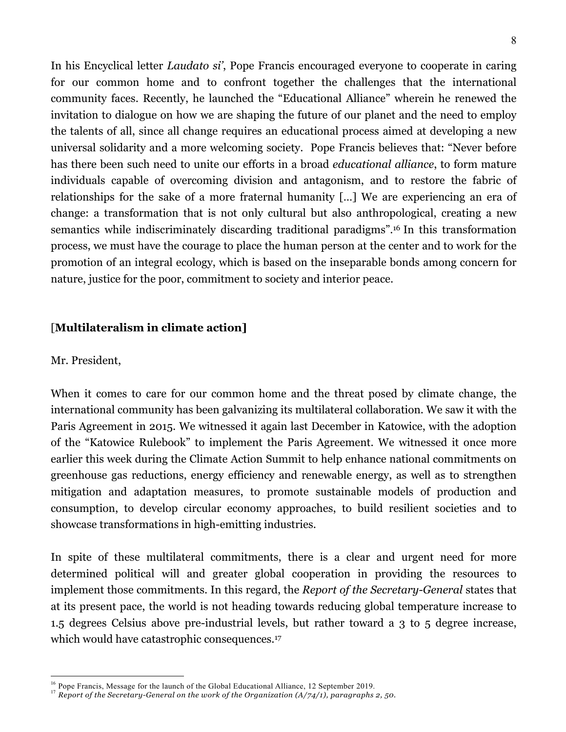In his Encyclical letter *Laudato si'*, Pope Francis encouraged everyone to cooperate in caring for our common home and to confront together the challenges that the international community faces. Recently, he launched the "Educational Alliance" wherein he renewed the invitation to dialogue on how we are shaping the future of our planet and the need to employ the talents of all, since all change requires an educational process aimed at developing a new universal solidarity and a more welcoming society. Pope Francis believes that: "Never before has there been such need to unite our efforts in a broad *educational alliance*, to form mature individuals capable of overcoming division and antagonism, and to restore the fabric of relationships for the sake of a more fraternal humanity […] We are experiencing an era of change: a transformation that is not only cultural but also anthropological, creating a new semantics while indiscriminately discarding traditional paradigms".16 In this transformation process, we must have the courage to place the human person at the center and to work for the promotion of an integral ecology, which is based on the inseparable bonds among concern for nature, justice for the poor, commitment to society and interior peace.

#### [**Multilateralism in climate action]**

#### Mr. President,

When it comes to care for our common home and the threat posed by climate change, the international community has been galvanizing its multilateral collaboration. We saw it with the Paris Agreement in 2015. We witnessed it again last December in Katowice, with the adoption of the "Katowice Rulebook" to implement the Paris Agreement. We witnessed it once more earlier this week during the Climate Action Summit to help enhance national commitments on greenhouse gas reductions, energy efficiency and renewable energy, as well as to strengthen mitigation and adaptation measures, to promote sustainable models of production and consumption, to develop circular economy approaches, to build resilient societies and to showcase transformations in high-emitting industries.

In spite of these multilateral commitments, there is a clear and urgent need for more determined political will and greater global cooperation in providing the resources to implement those commitments. In this regard, the *Report of the Secretary-General* states that at its present pace, the world is not heading towards reducing global temperature increase to 1.5 degrees Celsius above pre-industrial levels, but rather toward a 3 to 5 degree increase, which would have catastrophic consequences.<sup>17</sup>

<sup>&</sup>lt;sup>16</sup> Pope Francis, Message for the launch of the Global Educational Alliance, 12 September 2019.<br><sup>17</sup> *Report of the Secretary-General on the work of the Organization (A/74/1), paragraphs 2, 50.*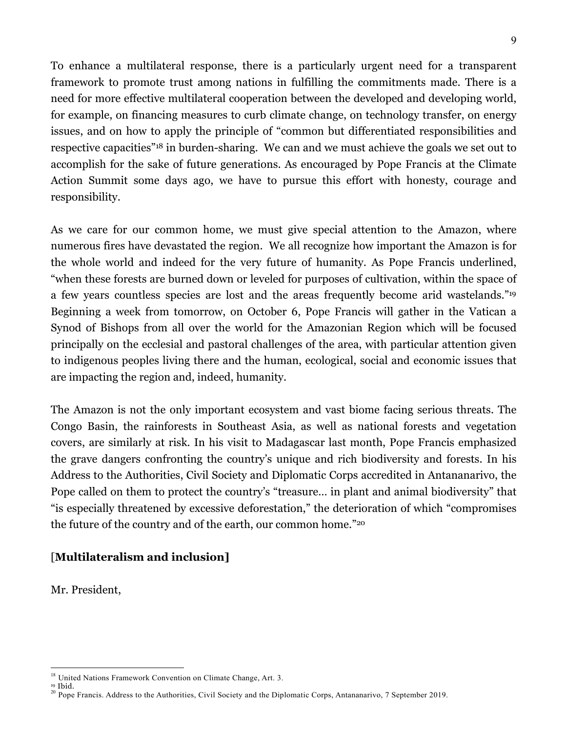To enhance a multilateral response, there is a particularly urgent need for a transparent framework to promote trust among nations in fulfilling the commitments made. There is a need for more effective multilateral cooperation between the developed and developing world, for example, on financing measures to curb climate change, on technology transfer, on energy issues, and on how to apply the principle of "common but differentiated responsibilities and respective capacities"18 in burden-sharing. We can and we must achieve the goals we set out to accomplish for the sake of future generations. As encouraged by Pope Francis at the Climate Action Summit some days ago, we have to pursue this effort with honesty, courage and responsibility.

As we care for our common home, we must give special attention to the Amazon, where numerous fires have devastated the region. We all recognize how important the Amazon is for the whole world and indeed for the very future of humanity. As Pope Francis underlined, "when these forests are burned down or leveled for purposes of cultivation, within the space of a few years countless species are lost and the areas frequently become arid wastelands."19 Beginning a week from tomorrow, on October 6, Pope Francis will gather in the Vatican a Synod of Bishops from all over the world for the Amazonian Region which will be focused principally on the ecclesial and pastoral challenges of the area, with particular attention given to indigenous peoples living there and the human, ecological, social and economic issues that are impacting the region and, indeed, humanity.

The Amazon is not the only important ecosystem and vast biome facing serious threats. The Congo Basin, the rainforests in Southeast Asia, as well as national forests and vegetation covers, are similarly at risk. In his visit to Madagascar last month, Pope Francis emphasized the grave dangers confronting the country's unique and rich biodiversity and forests. In his Address to the Authorities, Civil Society and Diplomatic Corps accredited in Antananarivo, the Pope called on them to protect the country's "treasure… in plant and animal biodiversity" that "is especially threatened by excessive deforestation," the deterioration of which "compromises the future of the country and of the earth, our common home."20

### [**Multilateralism and inclusion]**

Mr. President,

<sup>&</sup>lt;sup>18</sup> United Nations Framework Convention on Climate Change, Art. 3.<br><sup>19</sup> Ibid.

<sup>&</sup>lt;sup>20</sup> Pope Francis. Address to the Authorities, Civil Society and the Diplomatic Corps, Antananarivo, 7 September 2019.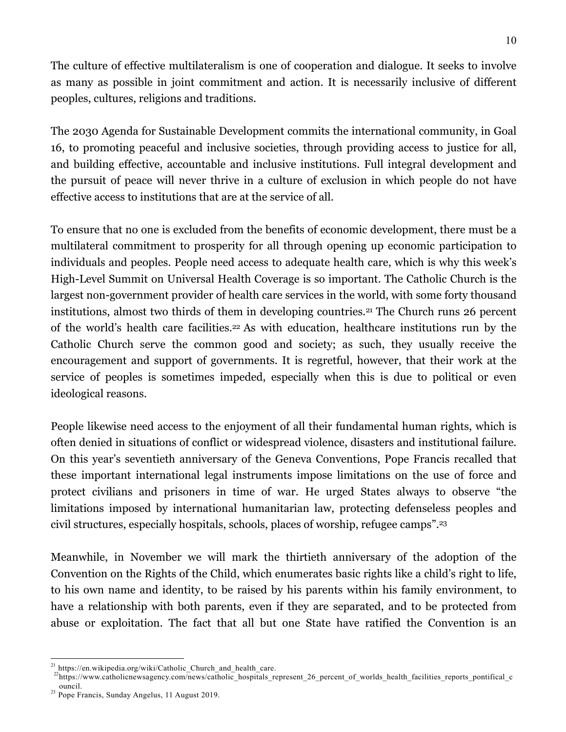The culture of effective multilateralism is one of cooperation and dialogue. It seeks to involve as many as possible in joint commitment and action. It is necessarily inclusive of different peoples, cultures, religions and traditions.

The 2030 Agenda for Sustainable Development commits the international community, in Goal 16, to promoting peaceful and inclusive societies, through providing access to justice for all, and building effective, accountable and inclusive institutions. Full integral development and the pursuit of peace will never thrive in a culture of exclusion in which people do not have effective access to institutions that are at the service of all.

To ensure that no one is excluded from the benefits of economic development, there must be a multilateral commitment to prosperity for all through opening up economic participation to individuals and peoples. People need access to adequate health care, which is why this week's High-Level Summit on Universal Health Coverage is so important. The Catholic Church is the largest non-government provider of health care services in the world, with some forty thousand institutions, almost two thirds of them in developing countries.21 The Church runs 26 percent of the world's health care facilities.22 As with education, healthcare institutions run by the Catholic Church serve the common good and society; as such, they usually receive the encouragement and support of governments. It is regretful, however, that their work at the service of peoples is sometimes impeded, especially when this is due to political or even ideological reasons.

People likewise need access to the enjoyment of all their fundamental human rights, which is often denied in situations of conflict or widespread violence, disasters and institutional failure. On this year's seventieth anniversary of the Geneva Conventions, Pope Francis recalled that these important international legal instruments impose limitations on the use of force and protect civilians and prisoners in time of war. He urged States always to observe "the limitations imposed by international humanitarian law, protecting defenseless peoples and civil structures, especially hospitals, schools, places of worship, refugee camps".23

Meanwhile, in November we will mark the thirtieth anniversary of the adoption of the Convention on the Rights of the Child, which enumerates basic rights like a child's right to life, to his own name and identity, to be raised by his parents within his family environment, to have a relationship with both parents, even if they are separated, and to be protected from abuse or exploitation. The fact that all but one State have ratified the Convention is an

<sup>&</sup>lt;sup>21</sup> https://en.wikipedia.org/wiki/Catholic\_Church\_and\_health\_care. <br><sup>22</sup>https://www.catholicnewsagency.com/news/catholic\_hospitals\_represent\_26\_percent\_of\_worlds\_health\_facilities\_reports\_pontifical\_c ouncil. <sup>23</sup> Pope Francis, Sunday Angelus, 11 August 2019.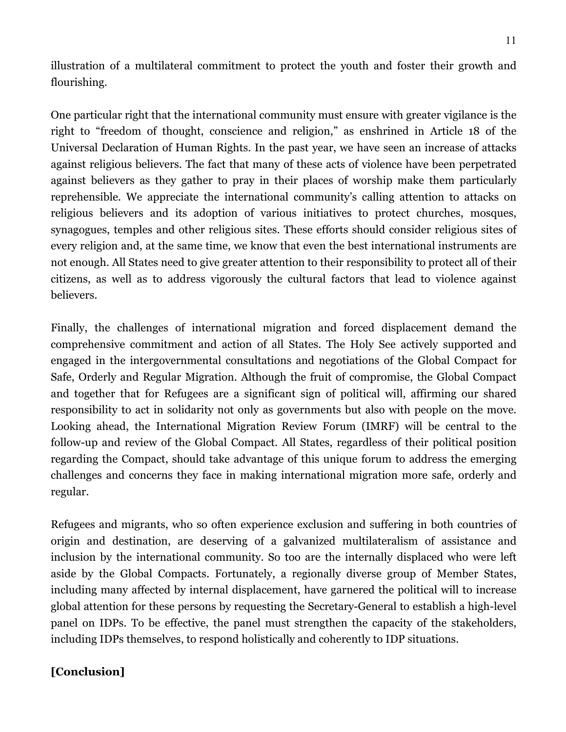illustration of a multilateral commitment to protect the youth and foster their growth and flourishing.

One particular right that the international community must ensure with greater vigilance is the right to "freedom of thought, conscience and religion," as enshrined in Article 18 of the Universal Declaration of Human Rights. In the past year, we have seen an increase of attacks against religious believers. The fact that many of these acts of violence have been perpetrated against believers as they gather to pray in their places of worship make them particularly reprehensible. We appreciate the international community's calling attention to attacks on religious believers and its adoption of various initiatives to protect churches, mosques, synagogues, temples and other religious sites. These efforts should consider religious sites of every religion and, at the same time, we know that even the best international instruments are not enough. All States need to give greater attention to their responsibility to protect all of their citizens, as well as to address vigorously the cultural factors that lead to violence against believers.

Finally, the challenges of international migration and forced displacement demand the comprehensive commitment and action of all States. The Holy See actively supported and engaged in the intergovernmental consultations and negotiations of the Global Compact for Safe, Orderly and Regular Migration. Although the fruit of compromise, the Global Compact and together that for Refugees are a significant sign of political will, affirming our shared responsibility to act in solidarity not only as governments but also with people on the move. Looking ahead, the International Migration Review Forum (IMRF) will be central to the follow-up and review of the Global Compact. All States, regardless of their political position regarding the Compact, should take advantage of this unique forum to address the emerging challenges and concerns they face in making international migration more safe, orderly and regular.

Refugees and migrants, who so often experience exclusion and suffering in both countries of origin and destination, are deserving of a galvanized multilateralism of assistance and inclusion by the international community. So too are the internally displaced who were left aside by the Global Compacts. Fortunately, a regionally diverse group of Member States, including many affected by internal displacement, have garnered the political will to increase global attention for these persons by requesting the Secretary-General to establish a high-level panel on IDPs. To be effective, the panel must strengthen the capacity of the stakeholders, including IDPs themselves, to respond holistically and coherently to IDP situations.

### **[Conclusion]**